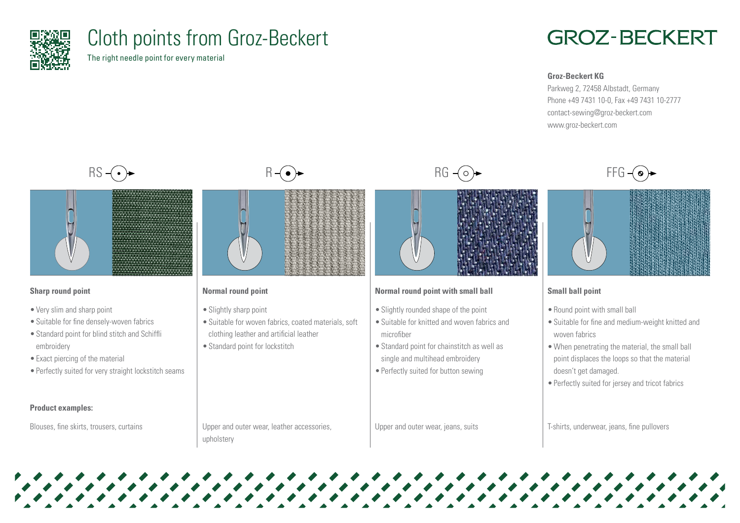

# Cloth points from Groz-Beckert

The right needle point for every material

## **GROZ-BECKERT**

#### **Groz-Beckert KG**

Parkweg 2, 72458 Albstadt, Germany Phone +49 7431 10-0, Fax +49 7431 10-2777 contact-sewing@groz-beckert.com www.groz-beckert.com





## **Sharp round point**

- •Very slim and sharp point
- •Suitable for fine densely-woven fabrics
- •Standard point for blind stitch and Schiffli embroidery
- •Exact piercing of the material
- •Perfectly suited for very straight lockstitch seams

## **Product examples:**

Blouses, fine skirts, trousers, curtains





## **Normal round point**

- Slightly sharp point
- Suitable for woven fabrics, coated materials, soft clothing leather and artificial leather
- •Standard point for lockstitch

## **Normal round point with small ball**

- Slightly rounded shape of the point
- •Suitable for knitted and woven fabrics and microfiber
- •Standard point for chainstitch as well as single and multihead embroidery
- Perfectly suited for button sewing

Upper and outer wear, jeans, suits





## **Small ball point**

- •Round point with small ball
- •Suitable for fine and medium-weight knitted and woven fabrics
- When penetrating the material, the small ball point displaces the loops so that the material doesn't get damaged.
- •Perfectly suited for jersey and tricot fabrics

T-shirts, underwear, jeans, fine pullovers

Upper and outer wear, leather accessories, upholstery